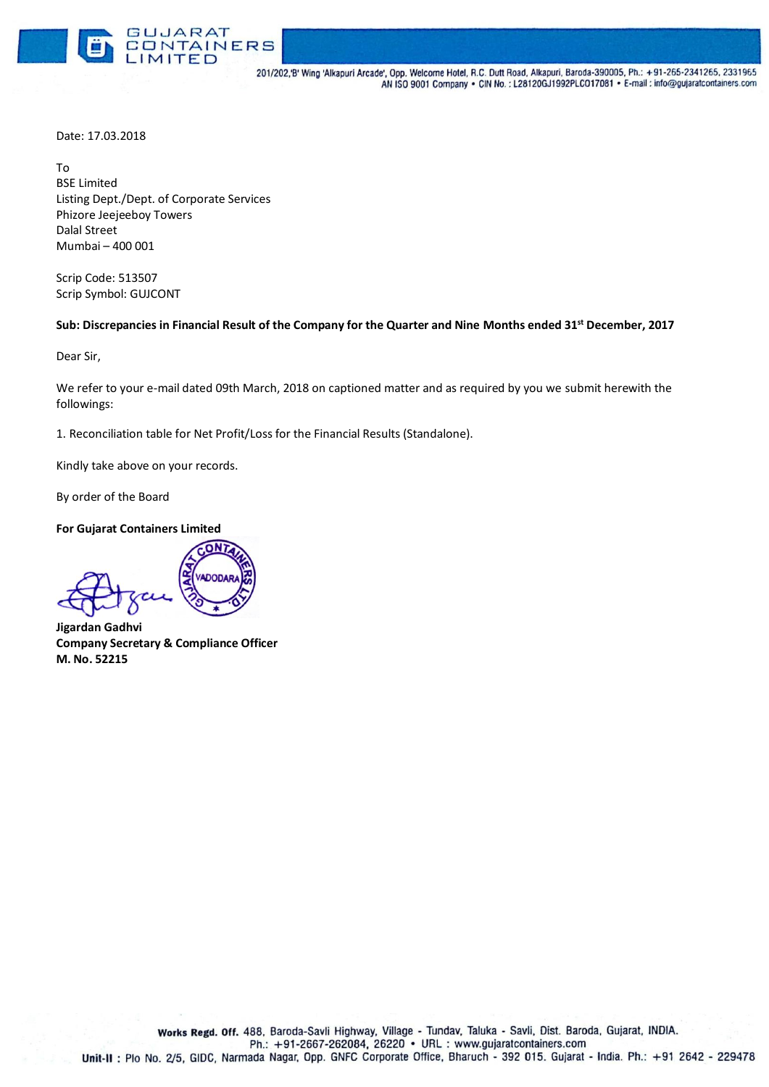

201/202, B' Wing 'Alkapuri Arcade', Opp. Welcome Hotel, R.C. Dutt Road, Alkapuri, Baroda-390005, Ph.: +91-265-2341265, 2331965 AN ISO 9001 Company . CIN No.: L28120GJ1992PLCO17081 . E-mail: info@gujaratcontainers.com

Date: 17.03.2018

To BSE Limited Listing Dept./Dept. of Corporate Services Phizore Jeejeeboy Towers Dalal Street Mumbai – 400 001

Scrip Code: 513507 Scrip Symbol: GUJCONT

## **Sub: Discrepancies in Financial Result of the Company for the Quarter and Nine Months ended 31st December, 2017**

Dear Sir,

We refer to your e-mail dated 09th March, 2018 on captioned matter and as required by you we submit herewith the followings:

1. Reconciliation table for Net Profit/Loss for the Financial Results (Standalone).

Kindly take above on your records.

By order of the Board

**For Gujarat Containers Limited**

**Jigardan Gadhvi Company Secretary & Compliance Officer M. No. 52215**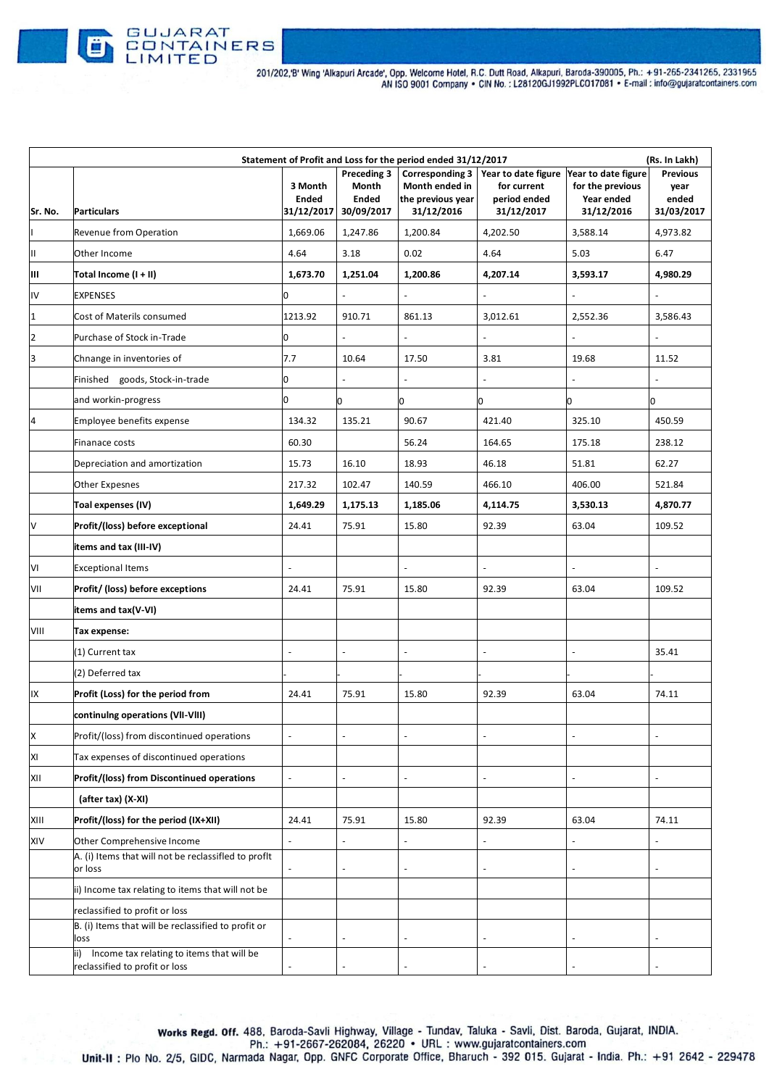

| Statement of Profit and Loss for the period ended 31/12/2017<br>(Rs. In Lakh) |                                                                                               |                                       |                                                    |                                                                             |                                                                                      |                                              |                                                |
|-------------------------------------------------------------------------------|-----------------------------------------------------------------------------------------------|---------------------------------------|----------------------------------------------------|-----------------------------------------------------------------------------|--------------------------------------------------------------------------------------|----------------------------------------------|------------------------------------------------|
| Sr. No.                                                                       | <b>Particulars</b>                                                                            | 3 Month<br><b>Ended</b><br>31/12/2017 | Preceding 3<br>Month<br><b>Ended</b><br>30/09/2017 | <b>Corresponding 3</b><br>Month ended in<br>the previous year<br>31/12/2016 | Year to date figure Year to date figure<br>for current<br>period ended<br>31/12/2017 | for the previous<br>Year ended<br>31/12/2016 | <b>Previous</b><br>year<br>ended<br>31/03/2017 |
|                                                                               | Revenue from Operation                                                                        | 1,669.06                              | 1,247.86                                           | 1,200.84                                                                    | 4,202.50                                                                             | 3,588.14                                     | 4,973.82                                       |
| Ш                                                                             | Other Income                                                                                  | 4.64                                  | 3.18                                               | 0.02                                                                        | 4.64                                                                                 | 5.03                                         | 6.47                                           |
| Ш                                                                             | Total Income (I + II)                                                                         | 1,673.70                              | 1,251.04                                           | 1,200.86                                                                    | 4,207.14                                                                             | 3,593.17                                     | 4,980.29                                       |
| IV                                                                            | <b>EXPENSES</b>                                                                               | $\Omega$                              |                                                    |                                                                             |                                                                                      |                                              |                                                |
| $\mathbf{1}$                                                                  | Cost of Materils consumed                                                                     | 1213.92                               | 910.71                                             | 861.13                                                                      | 3,012.61                                                                             | 2,552.36                                     | 3,586.43                                       |
| $\overline{2}$                                                                | Purchase of Stock in-Trade                                                                    | 0                                     | $\overline{a}$                                     | ÷,                                                                          | $\blacksquare$                                                                       | ÷,                                           | $\Box$                                         |
| 3                                                                             | Chnange in inventories of                                                                     | 7.7                                   | 10.64                                              | 17.50                                                                       | 3.81                                                                                 | 19.68                                        | 11.52                                          |
|                                                                               | Finished goods, Stock-in-trade                                                                | 0                                     |                                                    | $\blacksquare$                                                              |                                                                                      |                                              |                                                |
|                                                                               | and workin-progress                                                                           | 0                                     | 0                                                  | lo                                                                          | 0                                                                                    | 0                                            | lo                                             |
| 14                                                                            | Employee benefits expense                                                                     | 134.32                                | 135.21                                             | 90.67                                                                       | 421.40                                                                               | 325.10                                       | 450.59                                         |
|                                                                               | Finanace costs                                                                                | 60.30                                 |                                                    | 56.24                                                                       | 164.65                                                                               | 175.18                                       | 238.12                                         |
|                                                                               | Depreciation and amortization                                                                 | 15.73                                 | 16.10                                              | 18.93                                                                       | 46.18                                                                                | 51.81                                        | 62.27                                          |
|                                                                               | <b>Other Expesnes</b>                                                                         | 217.32                                | 102.47                                             | 140.59                                                                      | 466.10                                                                               | 406.00                                       | 521.84                                         |
|                                                                               | Toal expenses (IV)                                                                            | 1,649.29                              | 1,175.13                                           | 1,185.06                                                                    | 4,114.75                                                                             | 3,530.13                                     | 4,870.77                                       |
| lv                                                                            | Profit/(loss) before exceptional                                                              | 24.41                                 | 75.91                                              | 15.80                                                                       | 92.39                                                                                | 63.04                                        | 109.52                                         |
|                                                                               | items and tax (III-IV)                                                                        |                                       |                                                    |                                                                             |                                                                                      |                                              |                                                |
| VI                                                                            | <b>Exceptional Items</b>                                                                      | ÷,                                    |                                                    | $\blacksquare$                                                              |                                                                                      | $\overline{a}$                               |                                                |
| VII                                                                           | Profit/ (loss) before exceptions                                                              | 24.41                                 | 75.91                                              | 15.80                                                                       | 92.39                                                                                | 63.04                                        | 109.52                                         |
|                                                                               | items and tax(V-VI)                                                                           |                                       |                                                    |                                                                             |                                                                                      |                                              |                                                |
| VIII                                                                          | Tax expense:                                                                                  |                                       |                                                    |                                                                             |                                                                                      |                                              |                                                |
|                                                                               | (1) Current tax                                                                               | $\overline{a}$                        |                                                    | $\overline{a}$                                                              |                                                                                      | $\overline{a}$                               | 35.41                                          |
|                                                                               | (2) Deferred tax                                                                              |                                       |                                                    |                                                                             |                                                                                      |                                              |                                                |
| IX                                                                            | Profit (Loss) for the period from                                                             | 24.41                                 | 75.91                                              | 15.80                                                                       | 92.39                                                                                | 63.04                                        | 74.11                                          |
|                                                                               | continulng operations (VII-VIII)                                                              |                                       |                                                    |                                                                             |                                                                                      |                                              |                                                |
| X                                                                             | Profit/(loss) from discontinued operations                                                    | ÷,                                    |                                                    | $\overline{\phantom{a}}$                                                    |                                                                                      | $\sim$                                       |                                                |
| XI                                                                            | Tax expenses of discontinued operations                                                       |                                       |                                                    |                                                                             |                                                                                      |                                              |                                                |
| XII                                                                           | <b>Profit/(loss) from Discontinued operations</b>                                             | $\blacksquare$                        | $\overline{\phantom{a}}$                           | $\blacksquare$                                                              | $\overline{\phantom{a}}$                                                             | $\overline{\phantom{a}}$                     | $\overline{\phantom{a}}$                       |
|                                                                               | (after tax) (X-XI)                                                                            |                                       |                                                    |                                                                             |                                                                                      |                                              |                                                |
| XIII                                                                          | Profit/(loss) for the period (IX+XII)                                                         | 24.41                                 | 75.91                                              | 15.80                                                                       | 92.39                                                                                | 63.04                                        | 74.11                                          |
| XIV                                                                           | Other Comprehensive Income<br>A. (i) Items that will not be reclassifled to proflt<br>or loss | $\Box$<br>$\overline{\phantom{a}}$    | $\overline{\phantom{a}}$<br>ä,                     | ÷,<br>$\blacksquare$                                                        | L.                                                                                   | ÷,<br>$\overline{\phantom{a}}$               | $\blacksquare$                                 |
|                                                                               | ii) Income tax relating to items that will not be                                             |                                       |                                                    |                                                                             |                                                                                      |                                              |                                                |
|                                                                               | reclassified to profit or loss                                                                |                                       |                                                    |                                                                             |                                                                                      |                                              |                                                |
|                                                                               | B. (i) Items that will be reclassified to profit or<br>loss                                   |                                       | L,                                                 |                                                                             |                                                                                      | $\overline{\phantom{a}}$                     |                                                |
|                                                                               | Income tax relating to items that will be<br>ii)<br>reclassified to profit or loss            |                                       |                                                    |                                                                             |                                                                                      |                                              |                                                |

GUJARAT

Ð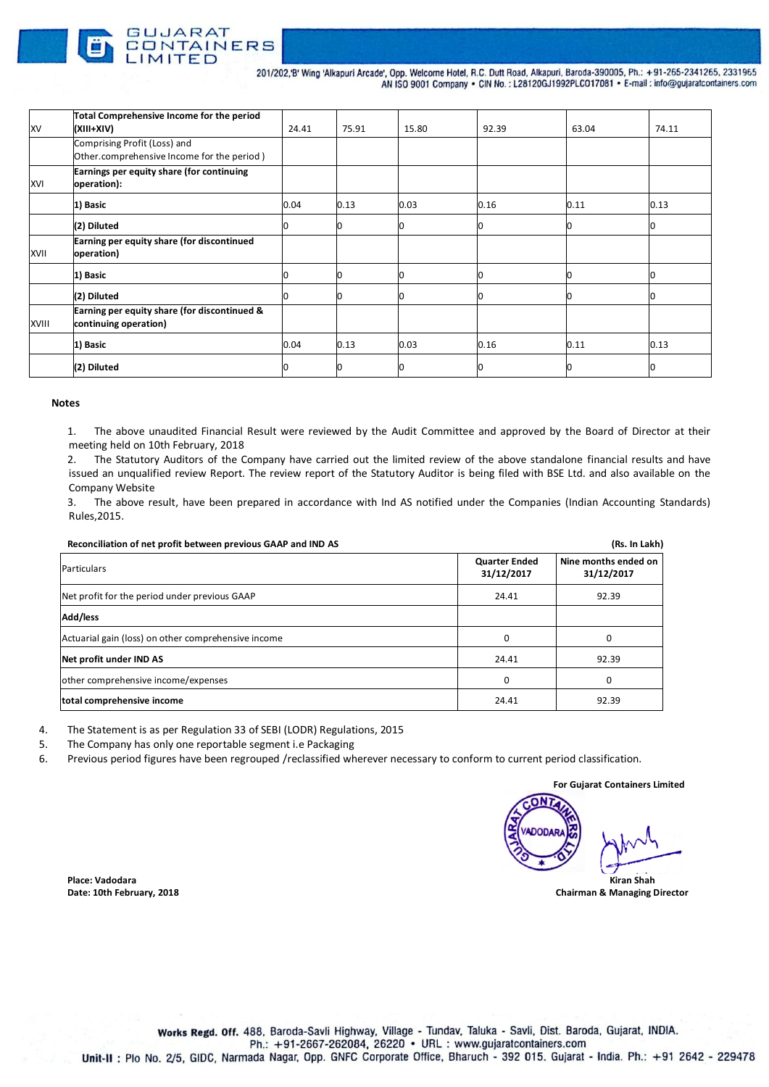

GUJARAT

CONTAINERS 201/202,'B' Wing 'Alkapuri Arcade', Opp. Welcome Hotel, R.C. Dutt Road, Alkapuri, Baroda-390005, Ph.: +91-265-2341265, 2331965 AN ISO 9001 Company . CIN No.: L28120GJ1992PLC017081 . E-mail: info@gujaratcontainers.com

| <b>XV</b>  | Total Comprehensive Income for the period<br>(XIII+XIV)                    | 24.41 | 75.91 | 15.80 | 92.39 | 63.04 | 74.11 |
|------------|----------------------------------------------------------------------------|-------|-------|-------|-------|-------|-------|
|            | Comprising Profit (Loss) and<br>Other.comprehensive Income for the period) |       |       |       |       |       |       |
| <b>XVI</b> | Earnings per equity share (for continuing<br>operation):                   |       |       |       |       |       |       |
|            | 1) Basic                                                                   | 0.04  | 0.13  | 0.03  | 0.16  | 0.11  | 0.13  |
|            | (2) Diluted                                                                | 0     |       | חו    |       |       | 10    |
| XVII       | Earning per equity share (for discontinued<br>operation)                   |       |       |       |       |       |       |
|            | 1) Basic                                                                   |       |       |       |       |       |       |
|            | (2) Diluted                                                                |       |       |       |       |       |       |
| XVIII      | Earning per equity share (for discontinued &<br>continuing operation)      |       |       |       |       |       |       |
|            | 1) Basic                                                                   | 0.04  | 0.13  | 0.03  | 0.16  | 0.11  | 0.13  |
|            | (2) Diluted                                                                |       |       | ۱n    |       |       | IO    |

## **Notes**

1. The above unaudited Financial Result were reviewed by the Audit Committee and approved by the Board of Director at their meeting held on 10th February, 2018

2. The Statutory Auditors of the Company have carried out the limited review of the above standalone financial results and have issued an unqualified review Report. The review report of the Statutory Auditor is being filed with BSE Ltd. and also available on the Company Website

3. The above result, have been prepared in accordance with Ind AS notified under the Companies (Indian Accounting Standards) Rules,2015.

| Reconciliation of net profit between previous GAAP and IND AS |                                    | (Rs. In Lakh)                      |
|---------------------------------------------------------------|------------------------------------|------------------------------------|
| Particulars                                                   | <b>Quarter Ended</b><br>31/12/2017 | Nine months ended on<br>31/12/2017 |
| Net profit for the period under previous GAAP                 | 24.41                              | 92.39                              |
| Add/less                                                      |                                    |                                    |
| Actuarial gain (loss) on other comprehensive income           | $\Omega$                           | 0                                  |
| Net profit under IND AS                                       | 24.41                              | 92.39                              |
| other comprehensive income/expenses                           | $\Omega$                           | 0                                  |
| total comprehensive income                                    | 24.41                              | 92.39                              |

4. The Statement is as per Regulation 33 of SEBI (LODR) Regulations, 2015<br>5. The Company has only one reportable segment i.e Packaging

5. The Company has only one reportable segment i.e Packaging<br>6. Previous period figures have been regrouped /reclassified wh

Previous period figures have been regrouped /reclassified wherever necessary to conform to current period classification.

**For Gujarat Containers Limited Place: Vadodara Kiran Shah**

**Date: 10th February, 2018 Chairman & Managing Director**